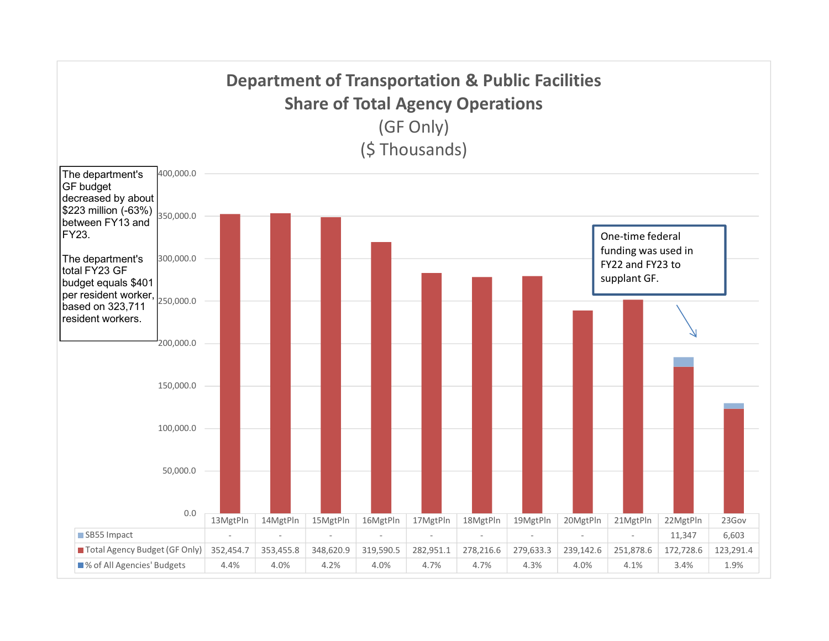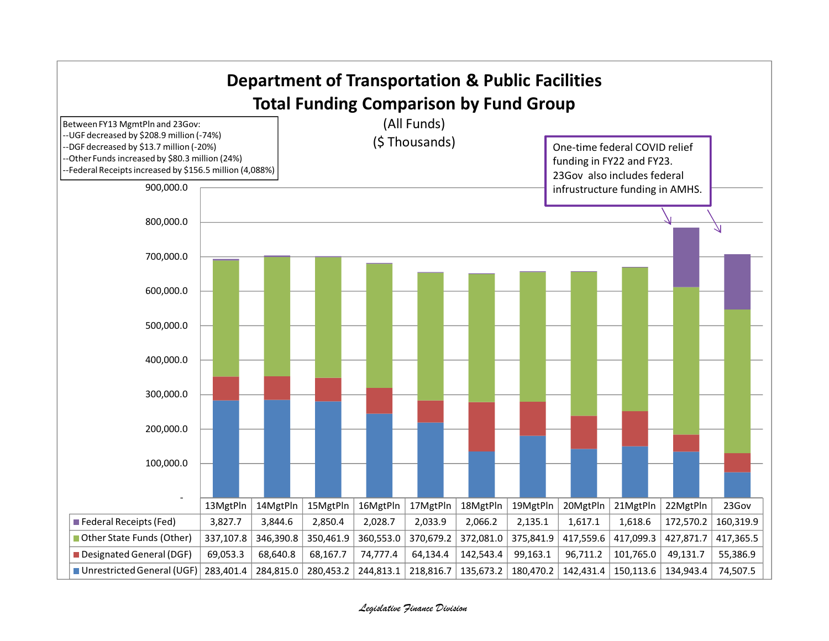